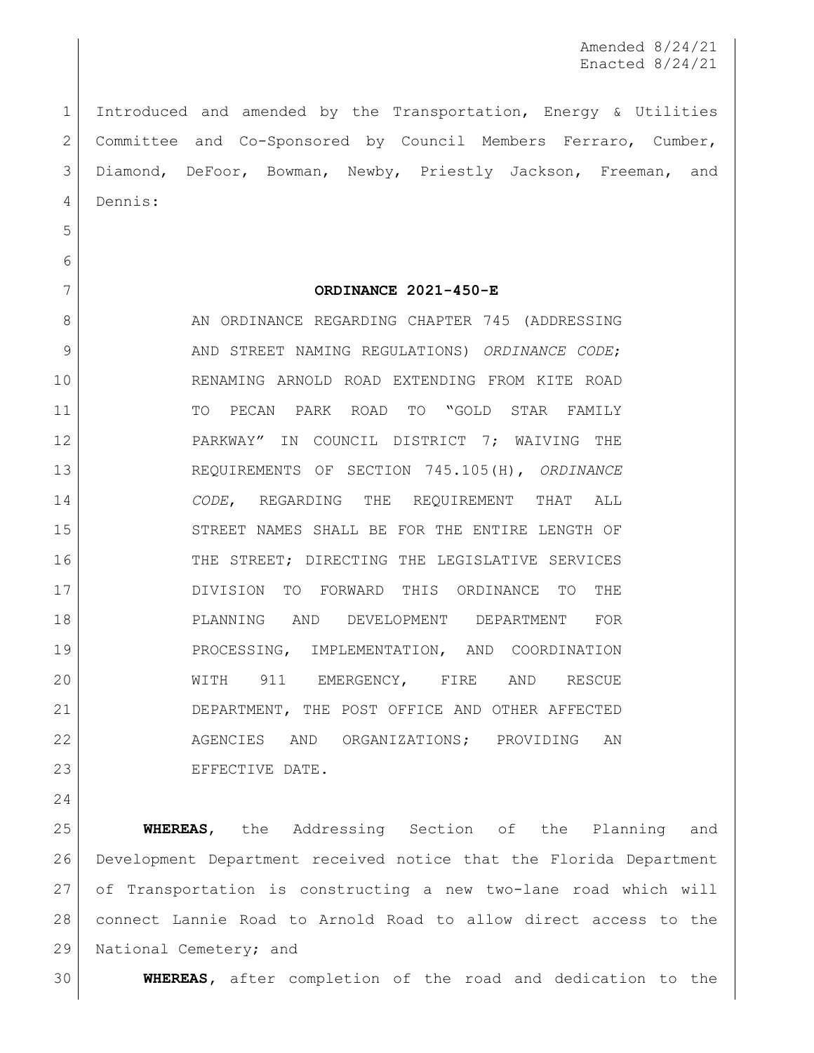Amended 8/24/21 Enacted 8/24/21

 Introduced and amended by the Transportation, Energy & Utilities Committee and Co-Sponsored by Council Members Ferraro, Cumber, Diamond, DeFoor, Bowman, Newby, Priestly Jackson, Freeman, and Dennis:

- 
- 

## **ORDINANCE 2021-450-E**

8 AN ORDINANCE REGARDING CHAPTER 745 (ADDRESSING 9 AND STREET NAMING REGULATIONS) *ORDINANCE CODE*; RENAMING ARNOLD ROAD EXTENDING FROM KITE ROAD TO PECAN PARK ROAD TO "GOLD STAR FAMILY PARKWAY" IN COUNCIL DISTRICT 7; WAIVING THE REQUIREMENTS OF SECTION 745.105(H), *ORDINANCE CODE*, REGARDING THE REQUIREMENT THAT ALL 15 STREET NAMES SHALL BE FOR THE ENTIRE LENGTH OF 16 THE STREET; DIRECTING THE LEGISLATIVE SERVICES DIVISION TO FORWARD THIS ORDINANCE TO THE PLANNING AND DEVELOPMENT DEPARTMENT FOR PROCESSING, IMPLEMENTATION, AND COORDINATION 20 WITH 911 EMERGENCY, FIRE AND RESCUE DEPARTMENT, THE POST OFFICE AND OTHER AFFECTED 22 AGENCIES AND ORGANIZATIONS; PROVIDING AN EFFECTIVE DATE.

 **WHEREAS**, the Addressing Section of the Planning and Development Department received notice that the Florida Department of Transportation is constructing a new two-lane road which will connect Lannie Road to Arnold Road to allow direct access to the 29 | National Cemetery; and

**WHEREAS,** after completion of the road and dedication to the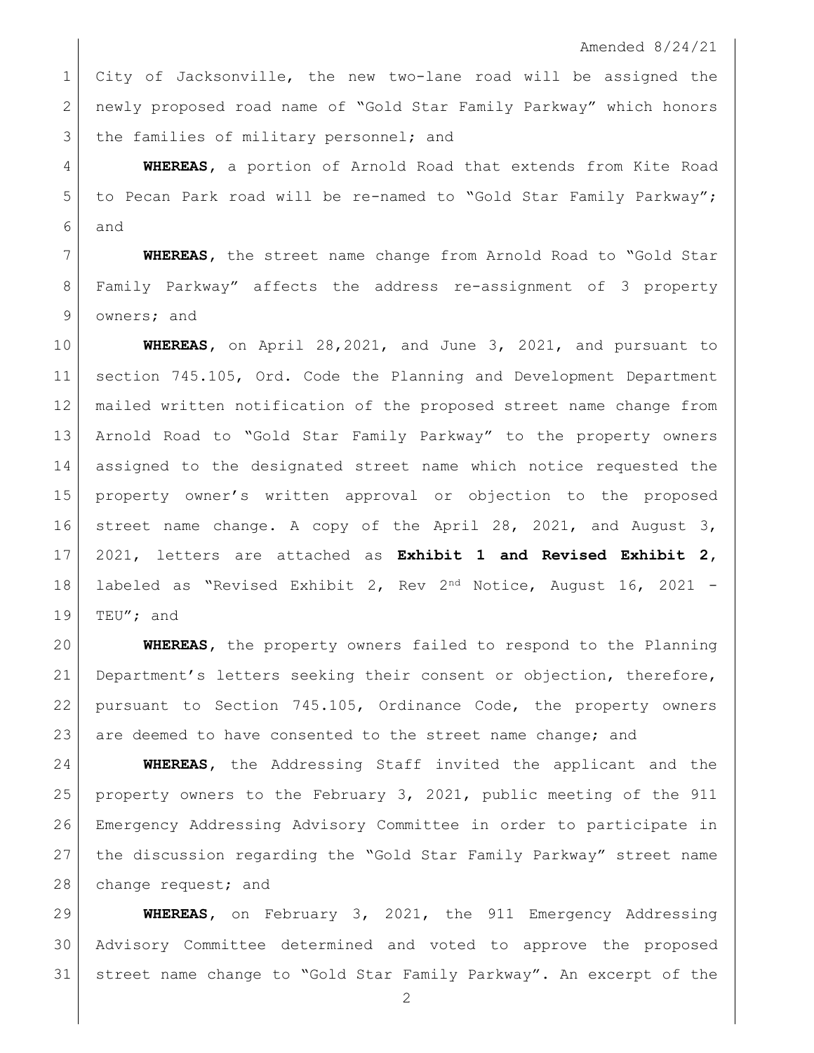Amended 8/24/21

 City of Jacksonville, the new two-lane road will be assigned the newly proposed road name of "Gold Star Family Parkway" which honors 3 the families of military personnel; and

 **WHEREAS,** a portion of Arnold Road that extends from Kite Road to Pecan Park road will be re-named to "Gold Star Family Parkway"; and

 **WHEREAS,** the street name change from Arnold Road to "Gold Star Family Parkway" affects the address re-assignment of 3 property owners; and

 **WHEREAS,** on April 28,2021, and June 3, 2021, and pursuant to section 745.105, Ord. Code the Planning and Development Department mailed written notification of the proposed street name change from Arnold Road to "Gold Star Family Parkway" to the property owners assigned to the designated street name which notice requested the property owner's written approval or objection to the proposed street name change. A copy of the April 28, 2021, and August 3, 2021, letters are attached as **Exhibit 1 and Revised Exhibit 2,**  labeled as "Revised Exhibit 2, Rev 2nd Notice, August 16, 2021 - 19 TEU"; and

 **WHEREAS,** the property owners failed to respond to the Planning Department's letters seeking their consent or objection, therefore, pursuant to Section 745.105, Ordinance Code, the property owners 23 are deemed to have consented to the street name change; and

 **WHEREAS,** the Addressing Staff invited the applicant and the property owners to the February 3, 2021, public meeting of the 911 Emergency Addressing Advisory Committee in order to participate in the discussion regarding the "Gold Star Family Parkway" street name 28 change request; and

 **WHEREAS,** on February 3, 2021, the 911 Emergency Addressing Advisory Committee determined and voted to approve the proposed street name change to "Gold Star Family Parkway". An excerpt of the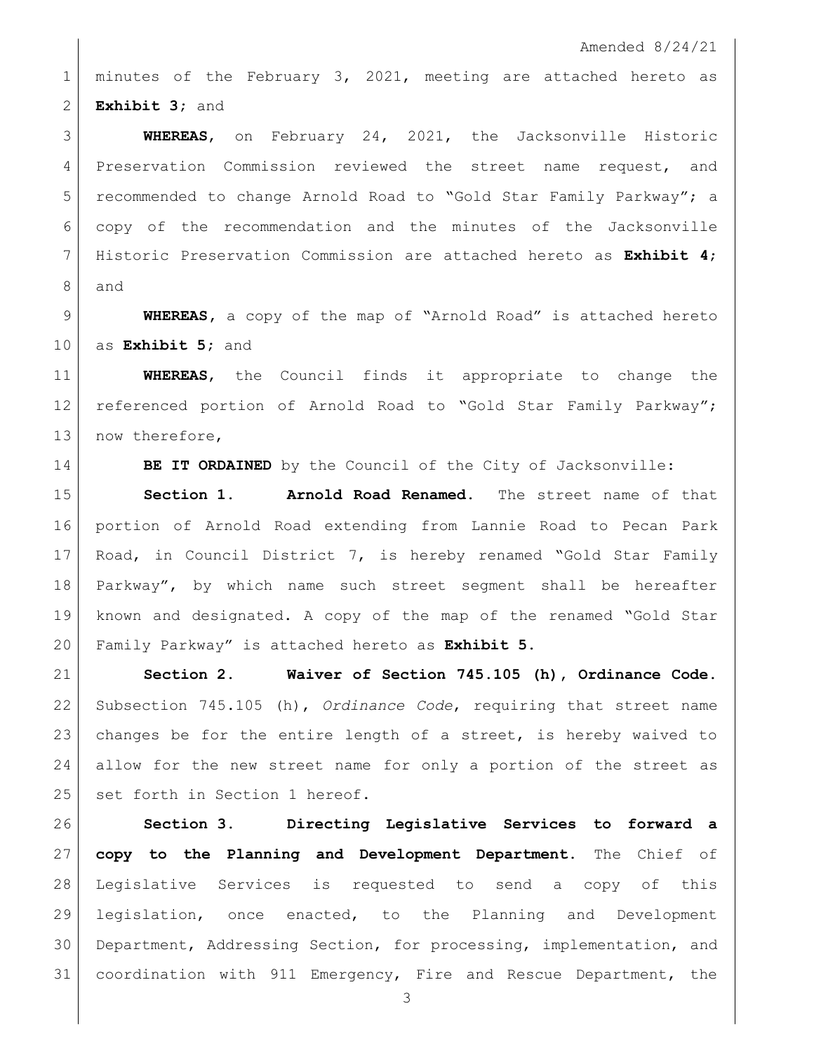Amended 8/24/21

 minutes of the February 3, 2021, meeting are attached hereto as **Exhibit 3;** and

 **WHEREAS**, on February 24, 2021, the Jacksonville Historic Preservation Commission reviewed the street name request, and recommended to change Arnold Road to "Gold Star Family Parkway"; a copy of the recommendation and the minutes of the Jacksonville Historic Preservation Commission are attached hereto as **Exhibit 4**; and

 **WHEREAS,** a copy of the map of "Arnold Road" is attached hereto as **Exhibit 5;** and

 **WHEREAS**, the Council finds it appropriate to change the 12 referenced portion of Arnold Road to "Gold Star Family Parkway"; 13 now therefore,

**BE IT ORDAINED** by the Council of the City of Jacksonville:

 **Section 1. Arnold Road Renamed.** The street name of that portion of Arnold Road extending from Lannie Road to Pecan Park 17 Road, in Council District 7, is hereby renamed "Gold Star Family Parkway", by which name such street segment shall be hereafter known and designated. A copy of the map of the renamed "Gold Star Family Parkway" is attached hereto as **Exhibit 5.**

 **Section 2. Waiver of Section 745.105 (h), Ordinance Code.** Subsection 745.105 (h), *Ordinance Code*, requiring that street name 23 changes be for the entire length of a street, is hereby waived to allow for the new street name for only a portion of the street as 25 set forth in Section 1 hereof.

 **Section 3. Directing Legislative Services to forward a copy to the Planning and Development Department.** The Chief of Legislative Services is requested to send a copy of this legislation, once enacted, to the Planning and Development Department, Addressing Section, for processing, implementation, and coordination with 911 Emergency, Fire and Rescue Department, the